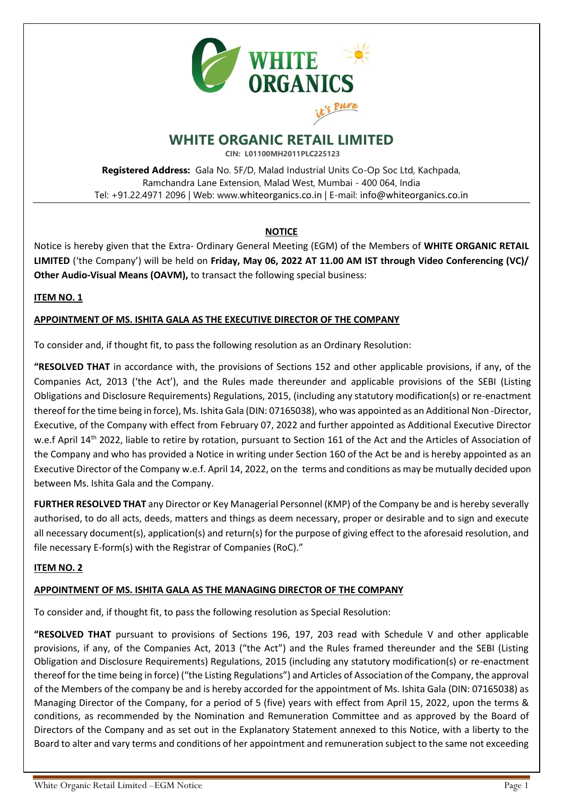

# **WHITE ORGANIC RETAIL LIMITED**

**CIN: L01100MH2011PLC225123**

**Registered Address:** Gala No. 5F/D, Malad Industrial Units Co-Op Soc Ltd, Kachpada, Ramchandra Lane Extension, Malad West, Mumbai - 400 064, India Tel: +91.22.4971 2096 | Web: www.whiteorganics.co.in | E-mail: info@whiteorganics.co.in

# **NOTICE**

Notice is hereby given that the Extra- Ordinary General Meeting (EGM) of the Members of **WHITE ORGANIC RETAIL LIMITED** ('the Company') will be held on **Friday, May 06, 2022 AT 11.00 AM IST through Video Conferencing (VC)/ Other Audio-Visual Means (OAVM),** to transact the following special business:

# **ITEM NO. 1**

# **APPOINTMENT OF MS. ISHITA GALA AS THE EXECUTIVE DIRECTOR OF THE COMPANY**

To consider and, if thought fit, to pass the following resolution as an Ordinary Resolution:

**"RESOLVED THAT** in accordance with, the provisions of Sections 152 and other applicable provisions, if any, of the Companies Act, 2013 ('the Act'), and the Rules made thereunder and applicable provisions of the SEBI (Listing Obligations and Disclosure Requirements) Regulations, 2015, (including any statutory modification(s) or re-enactment thereof for the time being in force), Ms. Ishita Gala (DIN: 07165038), who was appointed as an Additional Non -Director, Executive, of the Company with effect from February 07, 2022 and further appointed as Additional Executive Director w.e.f April 14th 2022, liable to retire by rotation, pursuant to Section 161 of the Act and the Articles of Association of the Company and who has provided a Notice in writing under Section 160 of the Act be and is hereby appointed as an Executive Director of the Company w.e.f. April 14, 2022, on the terms and conditions as may be mutually decided upon between Ms. Ishita Gala and the Company.

**FURTHER RESOLVED THAT** any Director or Key Managerial Personnel (KMP) of the Company be and is hereby severally authorised, to do all acts, deeds, matters and things as deem necessary, proper or desirable and to sign and execute all necessary document(s), application(s) and return(s) for the purpose of giving effect to the aforesaid resolution, and file necessary E-form(s) with the Registrar of Companies (RoC)."

### **ITEM NO. 2**

### **APPOINTMENT OF MS. ISHITA GALA AS THE MANAGING DIRECTOR OF THE COMPANY**

To consider and, if thought fit, to pass the following resolution as Special Resolution:

**"RESOLVED THAT** pursuant to provisions of Sections 196, 197, 203 read with Schedule V and other applicable provisions, if any, of the Companies Act, 2013 ("the Act") and the Rules framed thereunder and the SEBI (Listing Obligation and Disclosure Requirements) Regulations, 2015 (including any statutory modification(s) or re-enactment thereof for the time being in force) ("the Listing Regulations") and Articles of Association of the Company, the approval of the Members of the company be and is hereby accorded for the appointment of Ms. Ishita Gala (DIN: 07165038) as Managing Director of the Company, for a period of 5 (five) years with effect from April 15, 2022, upon the terms & conditions, as recommended by the Nomination and Remuneration Committee and as approved by the Board of Directors of the Company and as set out in the Explanatory Statement annexed to this Notice, with a liberty to the Board to alter and vary terms and conditions of her appointment and remuneration subject to the same not exceeding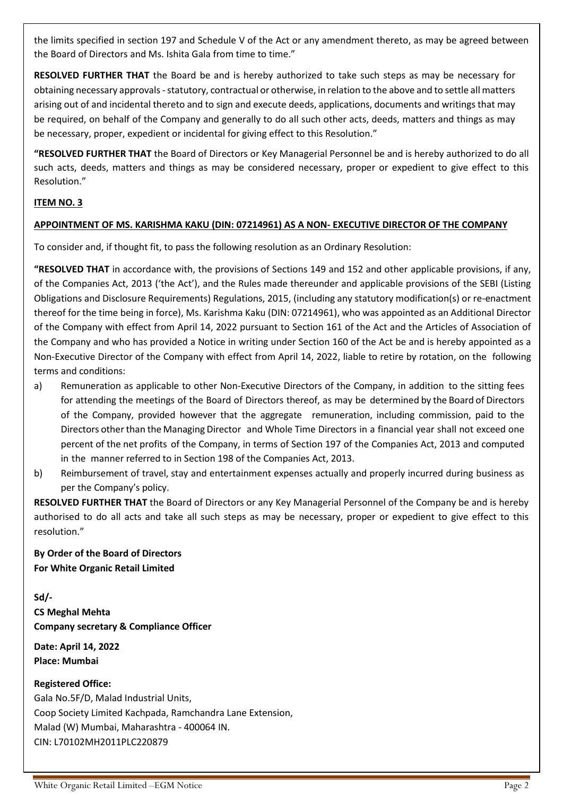the limits specified in section 197 and Schedule V of the Act or any amendment thereto, as may be agreed between the Board of Directors and Ms. Ishita Gala from time to time."

**RESOLVED FURTHER THAT** the Board be and is hereby authorized to take such steps as may be necessary for obtaining necessary approvals - statutory, contractual or otherwise, in relation to the above and to settle all matters arising out of and incidental thereto and to sign and execute deeds, applications, documents and writings that may be required, on behalf of the Company and generally to do all such other acts, deeds, matters and things as may be necessary, proper, expedient or incidental for giving effect to this Resolution."

**"RESOLVED FURTHER THAT** the Board of Directors or Key Managerial Personnel be and is hereby authorized to do all such acts, deeds, matters and things as may be considered necessary, proper or expedient to give effect to this Resolution."

# **ITEM NO. 3**

### **APPOINTMENT OF MS. KARISHMA KAKU (DIN: 07214961) AS A NON- EXECUTIVE DIRECTOR OF THE COMPANY**

To consider and, if thought fit, to pass the following resolution as an Ordinary Resolution:

**"RESOLVED THAT** in accordance with, the provisions of Sections 149 and 152 and other applicable provisions, if any, of the Companies Act, 2013 ('the Act'), and the Rules made thereunder and applicable provisions of the SEBI (Listing Obligations and Disclosure Requirements) Regulations, 2015, (including any statutory modification(s) or re-enactment thereof for the time being in force), Ms. Karishma Kaku (DIN: 07214961), who was appointed as an Additional Director of the Company with effect from April 14, 2022 pursuant to Section 161 of the Act and the Articles of Association of the Company and who has provided a Notice in writing under Section 160 of the Act be and is hereby appointed as a Non-Executive Director of the Company with effect from April 14, 2022, liable to retire by rotation, on the following terms and conditions:

- a) Remuneration as applicable to other Non-Executive Directors of the Company, in addition to the sitting fees for attending the meetings of the Board of Directors thereof, as may be determined by the Board of Directors of the Company, provided however that the aggregate remuneration, including commission, paid to the Directors other than the Managing Director and Whole Time Directors in a financial year shall not exceed one percent of the net profits of the Company, in terms of Section 197 of the Companies Act, 2013 and computed in the manner referred to in Section 198 of the Companies Act, 2013.
- b) Reimbursement of travel, stay and entertainment expenses actually and properly incurred during business as per the Company's policy.

**RESOLVED FURTHER THAT** the Board of Directors or any Key Managerial Personnel of the Company be and is hereby authorised to do all acts and take all such steps as may be necessary, proper or expedient to give effect to this resolution."

**By Order of the Board of Directors For White Organic Retail Limited** 

**Sd/- CS Meghal Mehta Company secretary & Compliance Officer**

**Date: April 14, 2022 Place: Mumbai**

**Registered Office:**

Gala No.5F/D, Malad Industrial Units, Coop Society Limited Kachpada, Ramchandra Lane Extension, Malad (W) Mumbai, Maharashtra - 400064 IN. CIN: L70102MH2011PLC220879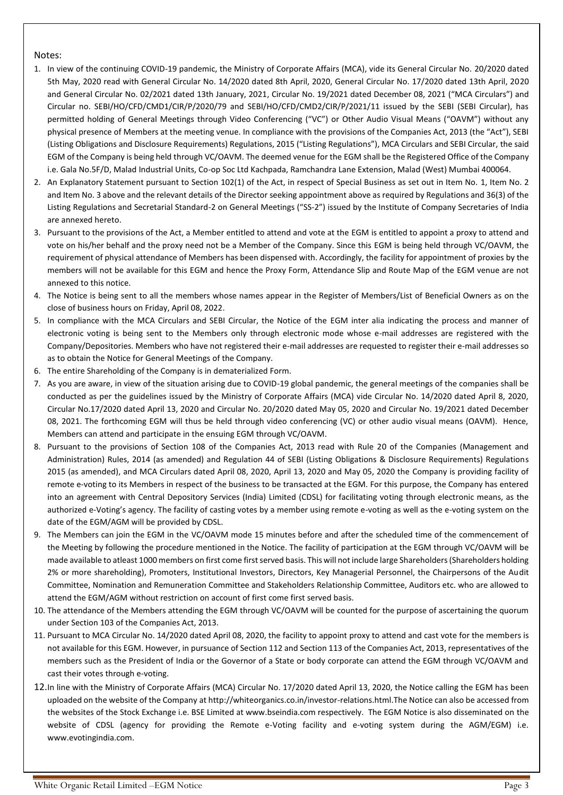#### Notes:

- 1. In view of the continuing COVID-19 pandemic, the Ministry of Corporate Affairs (MCA), vide its General Circular No. 20/2020 dated 5th May, 2020 read with General Circular No. 14/2020 dated 8th April, 2020, General Circular No. 17/2020 dated 13th April, 2020 and General Circular No. 02/2021 dated 13th January, 2021, Circular No. 19/2021 dated December 08, 2021 ("MCA Circulars") and Circular no. SEBI/HO/CFD/CMD1/CIR/P/2020/79 and SEBI/HO/CFD/CMD2/CIR/P/2021/11 issued by the SEBI (SEBI Circular), has permitted holding of General Meetings through Video Conferencing ("VC") or Other Audio Visual Means ("OAVM") without any physical presence of Members at the meeting venue. In compliance with the provisions of the Companies Act, 2013 (the "Act"), SEBI (Listing Obligations and Disclosure Requirements) Regulations, 2015 ("Listing Regulations"), MCA Circulars and SEBI Circular, the said EGM of the Company is being held through VC/OAVM. The deemed venue for the EGM shall be the Registered Office of the Company i.e. Gala No.5F/D, Malad Industrial Units, Co-op Soc Ltd Kachpada, Ramchandra Lane Extension, Malad (West) Mumbai 400064.
- 2. An Explanatory Statement pursuant to Section 102(1) of the Act, in respect of Special Business as set out in Item No. 1, Item No. 2 and Item No. 3 above and the relevant details of the Director seeking appointment above as required by Regulations and 36(3) of the Listing Regulations and Secretarial Standard-2 on General Meetings ("SS-2") issued by the Institute of Company Secretaries of India are annexed hereto.
- 3. Pursuant to the provisions of the Act, a Member entitled to attend and vote at the EGM is entitled to appoint a proxy to attend and vote on his/her behalf and the proxy need not be a Member of the Company. Since this EGM is being held through VC/OAVM, the requirement of physical attendance of Members has been dispensed with. Accordingly, the facility for appointment of proxies by the members will not be available for this EGM and hence the Proxy Form, Attendance Slip and Route Map of the EGM venue are not annexed to this notice.
- 4. The Notice is being sent to all the members whose names appear in the Register of Members/List of Beneficial Owners as on the close of business hours on Friday, April 08, 2022.
- 5. In compliance with the MCA Circulars and SEBI Circular, the Notice of the EGM inter alia indicating the process and manner of electronic voting is being sent to the Members only through electronic mode whose e-mail addresses are registered with the Company/Depositories. Members who have not registered their e-mail addresses are requested to register their e-mail addresses so as to obtain the Notice for General Meetings of the Company.
- 6. The entire Shareholding of the Company is in dematerialized Form.
- 7. As you are aware, in view of the situation arising due to COVID-19 global pandemic, the general meetings of the companies shall be conducted as per the guidelines issued by the Ministry of Corporate Affairs (MCA) vide Circular No. 14/2020 dated April 8, 2020, Circular No.17/2020 dated April 13, 2020 and Circular No. 20/2020 dated May 05, 2020 and Circular No. 19/2021 dated December 08, 2021. The forthcoming EGM will thus be held through video conferencing (VC) or other audio visual means (OAVM). Hence, Members can attend and participate in the ensuing EGM through VC/OAVM.
- 8. Pursuant to the provisions of Section 108 of the Companies Act, 2013 read with Rule 20 of the Companies (Management and Administration) Rules, 2014 (as amended) and Regulation 44 of SEBI (Listing Obligations & Disclosure Requirements) Regulations 2015 (as amended), and MCA Circulars dated April 08, 2020, April 13, 2020 and May 05, 2020 the Company is providing facility of remote e-voting to its Members in respect of the business to be transacted at the EGM. For this purpose, the Company has entered into an agreement with Central Depository Services (India) Limited (CDSL) for facilitating voting through electronic means, as the authorized e-Voting's agency. The facility of casting votes by a member using remote e-voting as well as the e-voting system on the date of the EGM/AGM will be provided by CDSL.
- 9. The Members can join the EGM in the VC/OAVM mode 15 minutes before and after the scheduled time of the commencement of the Meeting by following the procedure mentioned in the Notice. The facility of participation at the EGM through VC/OAVM will be made available to atleast 1000 members on first come first served basis. This will not include large Shareholders (Shareholders holding 2% or more shareholding), Promoters, Institutional Investors, Directors, Key Managerial Personnel, the Chairpersons of the Audit Committee, Nomination and Remuneration Committee and Stakeholders Relationship Committee, Auditors etc. who are allowed to attend the EGM/AGM without restriction on account of first come first served basis.
- 10. The attendance of the Members attending the EGM through VC/OAVM will be counted for the purpose of ascertaining the quorum under Section 103 of the Companies Act, 2013.
- 11. Pursuant to MCA Circular No. 14/2020 dated April 08, 2020, the facility to appoint proxy to attend and cast vote for the members is not available for this EGM. However, in pursuance of Section 112 and Section 113 of the Companies Act, 2013, representatives of the members such as the President of India or the Governor of a State or body corporate can attend the EGM through VC/OAVM and cast their votes through e-voting.
- 12.In line with the Ministry of Corporate Affairs (MCA) Circular No. 17/2020 dated April 13, 2020, the Notice calling the EGM has been uploaded on the website of the Company at http://whiteorganics.co.in/investor-relations.html.The Notice can also be accessed from the websites of the Stock Exchange i.e. BSE Limited at www.bseindia.com respectively. The EGM Notice is also disseminated on the website of CDSL (agency for providing the Remote e-Voting facility and e-voting system during the AGM/EGM) i.e. [www.evotingindia.com.](http://www.evotingindia.com/)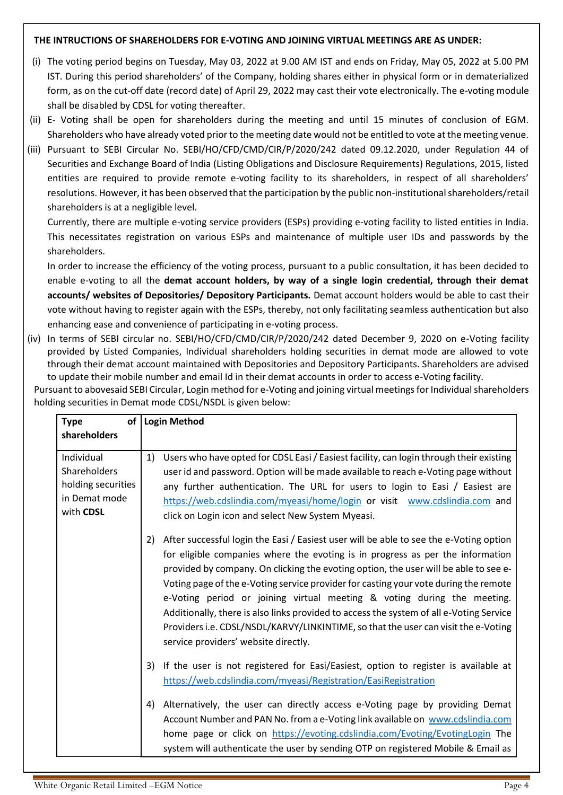### **THE INTRUCTIONS OF SHAREHOLDERS FOR E-VOTING AND JOINING VIRTUAL MEETINGS ARE AS UNDER:**

- (i) The voting period begins on Tuesday, May 03, 2022 at 9.00 AM IST and ends on Friday, May 05, 2022 at 5.00 PM IST. During this period shareholders' of the Company, holding shares either in physical form or in dematerialized form, as on the cut-off date (record date) of April 29, 2022 may cast their vote electronically. The e-voting module shall be disabled by CDSL for voting thereafter.
- (ii) E- Voting shall be open for shareholders during the meeting and until 15 minutes of conclusion of EGM. Shareholders who have already voted prior to the meeting date would not be entitled to vote at the meeting venue.
- (iii) Pursuant to SEBI Circular No. SEBI/HO/CFD/CMD/CIR/P/2020/242 dated 09.12.2020, under Regulation 44 of Securities and Exchange Board of India (Listing Obligations and Disclosure Requirements) Regulations, 2015, listed entities are required to provide remote e-voting facility to its shareholders, in respect of all shareholders' resolutions. However, it has been observed that the participation by the public non-institutional shareholders/retail shareholders is at a negligible level.

Currently, there are multiple e-voting service providers (ESPs) providing e-voting facility to listed entities in India. This necessitates registration on various ESPs and maintenance of multiple user IDs and passwords by the shareholders.

In order to increase the efficiency of the voting process, pursuant to a public consultation, it has been decided to enable e-voting to all the **demat account holders, by way of a single login credential, through their demat accounts/ websites of Depositories/ Depository Participants.** Demat account holders would be able to cast their vote without having to register again with the ESPs, thereby, not only facilitating seamless authentication but also enhancing ease and convenience of participating in e-voting process.

(iv) In terms of SEBI circular no. SEBI/HO/CFD/CMD/CIR/P/2020/242 dated December 9, 2020 on e-Voting facility provided by Listed Companies, Individual shareholders holding securities in demat mode are allowed to vote through their demat account maintained with Depositories and Depository Participants. Shareholders are advised to update their mobile number and email Id in their demat accounts in order to access e-Voting facility.

Pursuant to abovesaid SEBI Circular, Login method for e-Voting and joining virtual meetings for Individual shareholders holding securities in Demat mode CDSL/NSDL is given below:

| <b>Type</b>                                                                    | of   Login Method                                                                                                                                                                                                                                                                                                                                                                                                                                                                                                                                                                                                                                                  |
|--------------------------------------------------------------------------------|--------------------------------------------------------------------------------------------------------------------------------------------------------------------------------------------------------------------------------------------------------------------------------------------------------------------------------------------------------------------------------------------------------------------------------------------------------------------------------------------------------------------------------------------------------------------------------------------------------------------------------------------------------------------|
| shareholders                                                                   |                                                                                                                                                                                                                                                                                                                                                                                                                                                                                                                                                                                                                                                                    |
| Individual<br>Shareholders<br>holding securities<br>in Demat mode<br>with CDSL | Users who have opted for CDSL Easi / Easiest facility, can login through their existing<br>1)<br>user id and password. Option will be made available to reach e-Voting page without<br>any further authentication. The URL for users to login to Easi / Easiest are<br>https://web.cdslindia.com/myeasi/home/login or visit www.cdslindia.com and<br>click on Login icon and select New System Myeasi.                                                                                                                                                                                                                                                             |
|                                                                                | After successful login the Easi / Easiest user will be able to see the e-Voting option<br>2)<br>for eligible companies where the evoting is in progress as per the information<br>provided by company. On clicking the evoting option, the user will be able to see e-<br>Voting page of the e-Voting service provider for casting your vote during the remote<br>e-Voting period or joining virtual meeting & voting during the meeting.<br>Additionally, there is also links provided to access the system of all e-Voting Service<br>Providers i.e. CDSL/NSDL/KARVY/LINKINTIME, so that the user can visit the e-Voting<br>service providers' website directly. |
|                                                                                | If the user is not registered for Easi/Easiest, option to register is available at<br>3)<br>https://web.cdslindia.com/myeasi/Registration/EasiRegistration                                                                                                                                                                                                                                                                                                                                                                                                                                                                                                         |
|                                                                                | Alternatively, the user can directly access e-Voting page by providing Demat<br>4)<br>Account Number and PAN No. from a e-Voting link available on www.cdslindia.com<br>home page or click on https://evoting.cdslindia.com/Evoting/EvotingLogin The<br>system will authenticate the user by sending OTP on registered Mobile & Email as                                                                                                                                                                                                                                                                                                                           |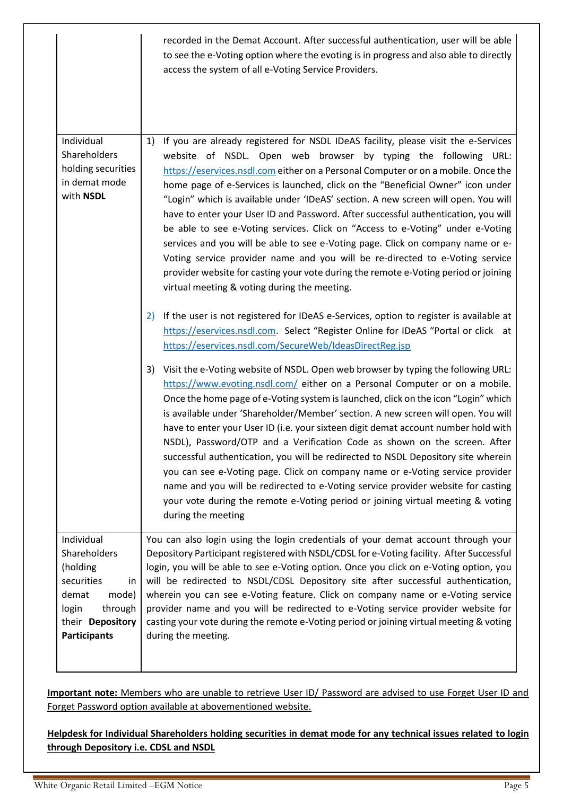|                                                                                                                                             | recorded in the Demat Account. After successful authentication, user will be able<br>to see the e-Voting option where the evoting is in progress and also able to directly<br>access the system of all e-Voting Service Providers.                                                                                                                                                                                                                                                                                                                                                                                                                                                                                                                                                                                                                                                                                                                                                                                                                                                                                                                                                                                                                                                                                                                                                                                                                                                                                                                                                                                                                                                                                                                                                                                                                                                                                                                                                                                                                    |
|---------------------------------------------------------------------------------------------------------------------------------------------|-------------------------------------------------------------------------------------------------------------------------------------------------------------------------------------------------------------------------------------------------------------------------------------------------------------------------------------------------------------------------------------------------------------------------------------------------------------------------------------------------------------------------------------------------------------------------------------------------------------------------------------------------------------------------------------------------------------------------------------------------------------------------------------------------------------------------------------------------------------------------------------------------------------------------------------------------------------------------------------------------------------------------------------------------------------------------------------------------------------------------------------------------------------------------------------------------------------------------------------------------------------------------------------------------------------------------------------------------------------------------------------------------------------------------------------------------------------------------------------------------------------------------------------------------------------------------------------------------------------------------------------------------------------------------------------------------------------------------------------------------------------------------------------------------------------------------------------------------------------------------------------------------------------------------------------------------------------------------------------------------------------------------------------------------------|
| Individual<br>Shareholders<br>holding securities<br>in demat mode<br>with NSDL                                                              | If you are already registered for NSDL IDeAS facility, please visit the e-Services<br>1)<br>website of NSDL. Open web browser by typing the following URL:<br>https://eservices.nsdl.com either on a Personal Computer or on a mobile. Once the<br>home page of e-Services is launched, click on the "Beneficial Owner" icon under<br>"Login" which is available under 'IDeAS' section. A new screen will open. You will<br>have to enter your User ID and Password. After successful authentication, you will<br>be able to see e-Voting services. Click on "Access to e-Voting" under e-Voting<br>services and you will be able to see e-Voting page. Click on company name or e-<br>Voting service provider name and you will be re-directed to e-Voting service<br>provider website for casting your vote during the remote e-Voting period or joining<br>virtual meeting & voting during the meeting.<br>If the user is not registered for IDeAS e-Services, option to register is available at<br>2)<br>https://eservices.nsdl.com. Select "Register Online for IDeAS "Portal or click at<br>https://eservices.nsdl.com/SecureWeb/IdeasDirectReg.jsp<br>Visit the e-Voting website of NSDL. Open web browser by typing the following URL:<br>3)<br>https://www.evoting.nsdl.com/ either on a Personal Computer or on a mobile.<br>Once the home page of e-Voting system is launched, click on the icon "Login" which<br>is available under 'Shareholder/Member' section. A new screen will open. You will<br>have to enter your User ID (i.e. your sixteen digit demat account number hold with<br>NSDL), Password/OTP and a Verification Code as shown on the screen. After<br>successful authentication, you will be redirected to NSDL Depository site wherein<br>you can see e-Voting page. Click on company name or e-Voting service provider<br>name and you will be redirected to e-Voting service provider website for casting<br>your vote during the remote e-Voting period or joining virtual meeting & voting<br>during the meeting |
| Individual<br>Shareholders<br>(holding<br>securities<br>in<br>mode)<br>demat<br>through<br>login<br>their Depository<br><b>Participants</b> | You can also login using the login credentials of your demat account through your<br>Depository Participant registered with NSDL/CDSL for e-Voting facility. After Successful<br>login, you will be able to see e-Voting option. Once you click on e-Voting option, you<br>will be redirected to NSDL/CDSL Depository site after successful authentication,<br>wherein you can see e-Voting feature. Click on company name or e-Voting service<br>provider name and you will be redirected to e-Voting service provider website for<br>casting your vote during the remote e-Voting period or joining virtual meeting & voting<br>during the meeting.                                                                                                                                                                                                                                                                                                                                                                                                                                                                                                                                                                                                                                                                                                                                                                                                                                                                                                                                                                                                                                                                                                                                                                                                                                                                                                                                                                                                 |

**Important note:** Members who are unable to retrieve User ID/ Password are advised to use Forget User ID and Forget Password option available at abovementioned website.

**Helpdesk for Individual Shareholders holding securities in demat mode for any technical issues related to login through Depository i.e. CDSL and NSDL**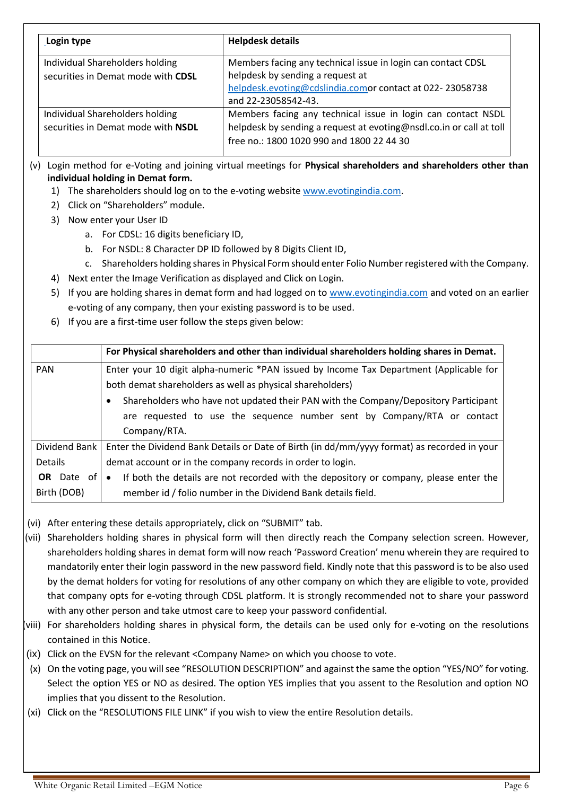| Login type                                                            | <b>Helpdesk details</b>                                                                                                                                                             |  |
|-----------------------------------------------------------------------|-------------------------------------------------------------------------------------------------------------------------------------------------------------------------------------|--|
| Individual Shareholders holding<br>securities in Demat mode with CDSL | Members facing any technical issue in login can contact CDSL<br>helpdesk by sending a request at<br>helpdesk.evoting@cdslindia.comor contact at 022-23058738<br>and 22-23058542-43. |  |
| Individual Shareholders holding<br>securities in Demat mode with NSDL | Members facing any technical issue in login can contact NSDL<br>helpdesk by sending a request at evoting@nsdl.co.in or call at toll<br>free no.: 1800 1020 990 and 1800 22 44 30    |  |

(v) Login method for e-Voting and joining virtual meetings for **Physical shareholders and shareholders other than individual holding in Demat form.**

- 1) The shareholders should log on to the e-voting websit[e www.evotingindia.com.](http://www.evotingindia.com/)
- 2) Click on "Shareholders" module.
- 3) Now enter your User ID
	- a. For CDSL: 16 digits beneficiary ID,
	- b. For NSDL: 8 Character DP ID followed by 8 Digits Client ID,
	- c. Shareholders holding shares in Physical Form should enter Folio Number registered with the Company.
- 4) Next enter the Image Verification as displayed and Click on Login.
- 5) If you are holding shares in demat form and had logged on t[o www.evotingindia.com](http://www.evotingindia.com/) and voted on an earlier e-voting of any company, then your existing password is to be used.
- 6) If you are a first-time user follow the steps given below:

|                   | For Physical shareholders and other than individual shareholders holding shares in Demat.                                                           |  |
|-------------------|-----------------------------------------------------------------------------------------------------------------------------------------------------|--|
| <b>PAN</b>        | Enter your 10 digit alpha-numeric *PAN issued by Income Tax Department (Applicable for<br>both demat shareholders as well as physical shareholders) |  |
|                   | Shareholders who have not updated their PAN with the Company/Depository Participant<br>$\bullet$                                                    |  |
|                   | are requested to use the sequence number sent by Company/RTA or contact                                                                             |  |
|                   | Company/RTA.                                                                                                                                        |  |
| Dividend Bank     | Enter the Dividend Bank Details or Date of Birth (in dd/mm/yyyy format) as recorded in your                                                         |  |
| Details           | demat account or in the company records in order to login.                                                                                          |  |
| <b>OR</b> Date of | If both the details are not recorded with the depository or company, please enter the<br>$\bullet$                                                  |  |
| Birth (DOB)       | member id / folio number in the Dividend Bank details field.                                                                                        |  |

- (vi) After entering these details appropriately, click on "SUBMIT" tab.
- (vii) Shareholders holding shares in physical form will then directly reach the Company selection screen. However, shareholders holding shares in demat form will now reach 'Password Creation' menu wherein they are required to mandatorily enter their login password in the new password field. Kindly note that this password is to be also used by the demat holders for voting for resolutions of any other company on which they are eligible to vote, provided that company opts for e-voting through CDSL platform. It is strongly recommended not to share your password with any other person and take utmost care to keep your password confidential.
- (viii) For shareholders holding shares in physical form, the details can be used only for e-voting on the resolutions contained in this Notice.
- (ix) Click on the EVSN for the relevant <Company Name> on which you choose to vote.
- (x) On the voting page, you will see "RESOLUTION DESCRIPTION" and against the same the option "YES/NO" for voting. Select the option YES or NO as desired. The option YES implies that you assent to the Resolution and option NO implies that you dissent to the Resolution.
- (xi) Click on the "RESOLUTIONS FILE LINK" if you wish to view the entire Resolution details.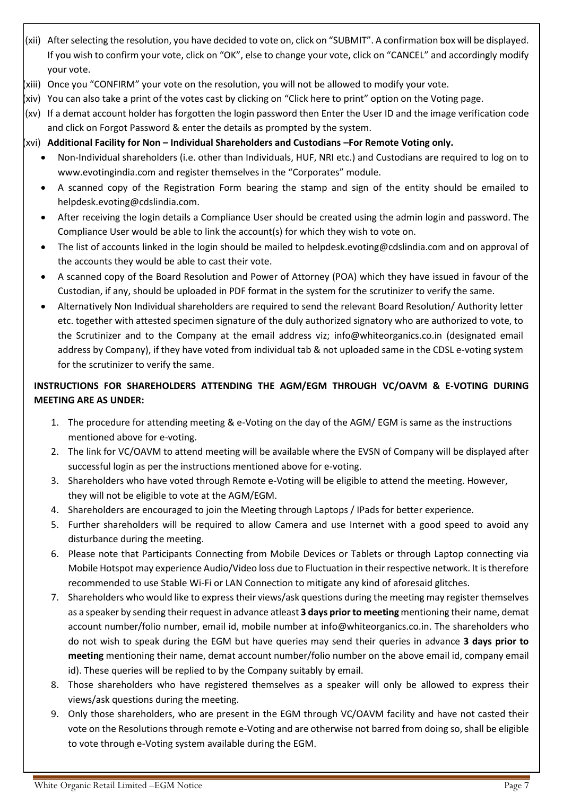- (xii) After selecting the resolution, you have decided to vote on, click on "SUBMIT". A confirmation box will be displayed. If you wish to confirm your vote, click on "OK", else to change your vote, click on "CANCEL" and accordingly modify your vote.
- (xiii) Once you "CONFIRM" your vote on the resolution, you will not be allowed to modify your vote.
- (xiv) You can also take a print of the votes cast by clicking on "Click here to print" option on the Voting page.
- (xv) If a demat account holder has forgotten the login password then Enter the User ID and the image verification code and click on Forgot Password & enter the details as prompted by the system.
- (xvi) **Additional Facility for Non – Individual Shareholders and Custodians –For Remote Voting only.**
	- Non-Individual shareholders (i.e. other than Individuals, HUF, NRI etc.) and Custodians are required to log on to [www.evotingindia.com](http://www.evotingindia.com/) and register themselves in the "Corporates" module.
	- A scanned copy of the Registration Form bearing the stamp and sign of the entity should be emailed to [helpdesk.evoting@cdslindia.com.](mailto:helpdesk.evoting@cdslindia.com)
	- After receiving the login details a Compliance User should be created using the admin login and password. The Compliance User would be able to link the account(s) for which they wish to vote on.
	- The list of accounts linked in the login should be mailed to helpdesk.evoting@cdslindia.com and on approval of the accounts they would be able to cast their vote.
	- A scanned copy of the Board Resolution and Power of Attorney (POA) which they have issued in favour of the Custodian, if any, should be uploaded in PDF format in the system for the scrutinizer to verify the same.
	- Alternatively Non Individual shareholders are required to send the relevant Board Resolution/ Authority letter etc. together with attested specimen signature of the duly authorized signatory who are authorized to vote, to the Scrutinizer and to the Company at the email address viz; info@whiteorganics.co.in (designated email address by Company), if they have voted from individual tab & not uploaded same in the CDSL e-voting system for the scrutinizer to verify the same.

# **INSTRUCTIONS FOR SHAREHOLDERS ATTENDING THE AGM/EGM THROUGH VC/OAVM & E-VOTING DURING MEETING ARE AS UNDER:**

- 1. The procedure for attending meeting & e-Voting on the day of the AGM/ EGM is same as the instructions mentioned above for e-voting.
- 2. The link for VC/OAVM to attend meeting will be available where the EVSN of Company will be displayed after successful login as per the instructions mentioned above for e-voting.
- 3. Shareholders who have voted through Remote e-Voting will be eligible to attend the meeting. However, they will not be eligible to vote at the AGM/EGM.
- 4. Shareholders are encouraged to join the Meeting through Laptops / IPads for better experience.
- 5. Further shareholders will be required to allow Camera and use Internet with a good speed to avoid any disturbance during the meeting.
- 6. Please note that Participants Connecting from Mobile Devices or Tablets or through Laptop connecting via Mobile Hotspot may experience Audio/Video loss due to Fluctuation in their respective network. It is therefore recommended to use Stable Wi-Fi or LAN Connection to mitigate any kind of aforesaid glitches.
- 7. Shareholders who would like to express their views/ask questions during the meeting may register themselves as a speaker by sending their request in advance atleast **3 days prior to meeting** mentioning their name, demat account number/folio number, email id, mobile number at info@whiteorganics.co.in. The shareholders who do not wish to speak during the EGM but have queries may send their queries in advance **3 days prior to meeting** mentioning their name, demat account number/folio number on the above email id, company email id). These queries will be replied to by the Company suitably by email.
- 8. Those shareholders who have registered themselves as a speaker will only be allowed to express their views/ask questions during the meeting.
- 9. Only those shareholders, who are present in the EGM through VC/OAVM facility and have not casted their vote on the Resolutions through remote e-Voting and are otherwise not barred from doing so, shall be eligible to vote through e-Voting system available during the EGM.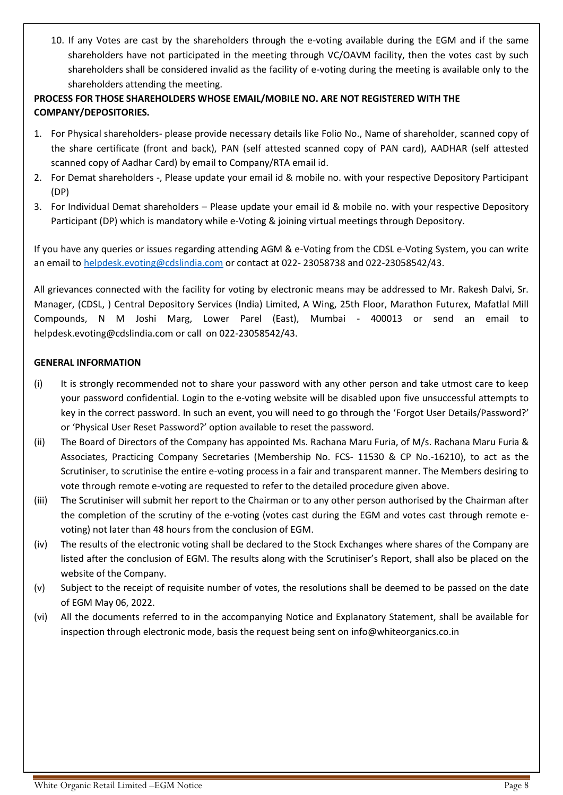10. If any Votes are cast by the shareholders through the e-voting available during the EGM and if the same shareholders have not participated in the meeting through VC/OAVM facility, then the votes cast by such shareholders shall be considered invalid as the facility of e-voting during the meeting is available only to the shareholders attending the meeting.

# **PROCESS FOR THOSE SHAREHOLDERS WHOSE EMAIL/MOBILE NO. ARE NOT REGISTERED WITH THE COMPANY/DEPOSITORIES.**

- 1. For Physical shareholders- please provide necessary details like Folio No., Name of shareholder, scanned copy of the share certificate (front and back), PAN (self attested scanned copy of PAN card), AADHAR (self attested scanned copy of Aadhar Card) by email to Company/RTA email id.
- 2. For Demat shareholders -, Please update your email id & mobile no. with your respective Depository Participant (DP)
- 3. For Individual Demat shareholders Please update your email id & mobile no. with your respective Depository Participant (DP) which is mandatory while e-Voting & joining virtual meetings through Depository.

If you have any queries or issues regarding attending AGM & e-Voting from the CDSL e-Voting System, you can write an email t[o helpdesk.evoting@cdslindia.com](mailto:helpdesk.evoting@cdslindia.com) or contact at 022- 23058738 and 022-23058542/43.

All grievances connected with the facility for voting by electronic means may be addressed to Mr. Rakesh Dalvi, Sr. Manager, (CDSL, ) Central Depository Services (India) Limited, A Wing, 25th Floor, Marathon Futurex, Mafatlal Mill Compounds, N M Joshi Marg, Lower Parel (East), Mumbai - 400013 or send an email to [helpdesk.evoting@cdslindia.com](mailto:helpdesk.evoting@cdslindia.com) or call on 022-23058542/43.

### **GENERAL INFORMATION**

- (i) It is strongly recommended not to share your password with any other person and take utmost care to keep your password confidential. Login to the e-voting website will be disabled upon five unsuccessful attempts to key in the correct password. In such an event, you will need to go through the 'Forgot User Details/Password?' or 'Physical User Reset Password?' option available to reset the password.
- (ii) The Board of Directors of the Company has appointed Ms. Rachana Maru Furia, of M/s. Rachana Maru Furia & Associates, Practicing Company Secretaries (Membership No. FCS- 11530 & CP No.-16210), to act as the Scrutiniser, to scrutinise the entire e-voting process in a fair and transparent manner. The Members desiring to vote through remote e-voting are requested to refer to the detailed procedure given above.
- (iii) The Scrutiniser will submit her report to the Chairman or to any other person authorised by the Chairman after the completion of the scrutiny of the e-voting (votes cast during the EGM and votes cast through remote evoting) not later than 48 hours from the conclusion of EGM.
- (iv) The results of the electronic voting shall be declared to the Stock Exchanges where shares of the Company are listed after the conclusion of EGM. The results along with the Scrutiniser's Report, shall also be placed on the website of the Company.
- (v) Subject to the receipt of requisite number of votes, the resolutions shall be deemed to be passed on the date of EGM May 06, 2022.
- (vi) All the documents referred to in the accompanying Notice and Explanatory Statement, shall be available for inspection through electronic mode, basis the request being sent on info@whiteorganics.co.in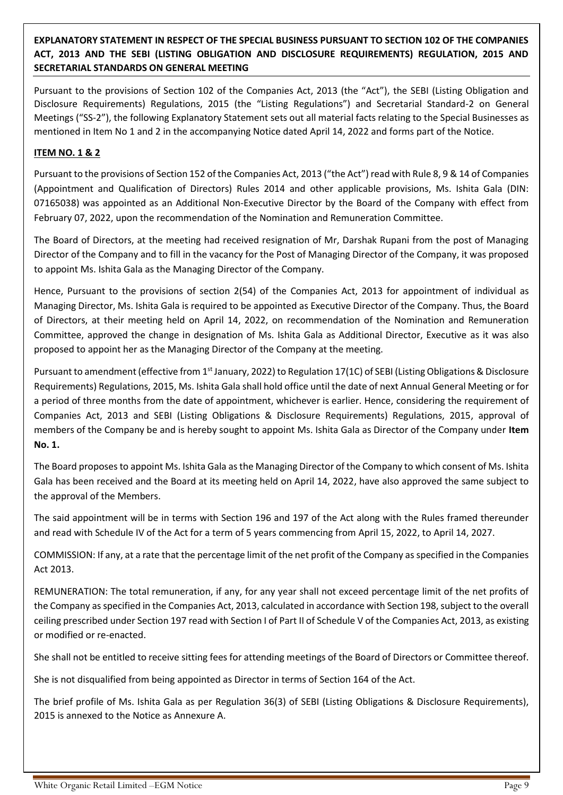**EXPLANATORY STATEMENT IN RESPECT OF THE SPECIAL BUSINESS PURSUANT TO SECTION 102 OF THE COMPANIES ACT, 2013 AND THE SEBI (LISTING OBLIGATION AND DISCLOSURE REQUIREMENTS) REGULATION, 2015 AND SECRETARIAL STANDARDS ON GENERAL MEETING**

Pursuant to the provisions of Section 102 of the Companies Act, 2013 (the "Act"), the SEBI (Listing Obligation and Disclosure Requirements) Regulations, 2015 (the "Listing Regulations") and Secretarial Standard-2 on General Meetings ("SS-2"), the following Explanatory Statement sets out all material facts relating to the Special Businesses as mentioned in Item No 1 and 2 in the accompanying Notice dated April 14, 2022 and forms part of the Notice.

### **ITEM NO. 1 & 2**

Pursuant to the provisions of Section 152 of the Companies Act, 2013 ("the Act") read with Rule 8, 9 & 14 of Companies (Appointment and Qualification of Directors) Rules 2014 and other applicable provisions, Ms. Ishita Gala (DIN: 07165038) was appointed as an Additional Non-Executive Director by the Board of the Company with effect from February 07, 2022, upon the recommendation of the Nomination and Remuneration Committee.

The Board of Directors, at the meeting had received resignation of Mr, Darshak Rupani from the post of Managing Director of the Company and to fill in the vacancy for the Post of Managing Director of the Company, it was proposed to appoint Ms. Ishita Gala as the Managing Director of the Company.

Hence, Pursuant to the provisions of section 2(54) of the Companies Act, 2013 for appointment of individual as Managing Director, Ms. Ishita Gala is required to be appointed as Executive Director of the Company. Thus, the Board of Directors, at their meeting held on April 14, 2022, on recommendation of the Nomination and Remuneration Committee, approved the change in designation of Ms. Ishita Gala as Additional Director, Executive as it was also proposed to appoint her as the Managing Director of the Company at the meeting.

Pursuant to amendment (effective from 1<sup>st</sup> January, 2022) to Regulation 17(1C) of SEBI (Listing Obligations & Disclosure Requirements) Regulations, 2015, Ms. Ishita Gala shall hold office until the date of next Annual General Meeting or for a period of three months from the date of appointment, whichever is earlier. Hence, considering the requirement of Companies Act, 2013 and SEBI (Listing Obligations & Disclosure Requirements) Regulations, 2015, approval of members of the Company be and is hereby sought to appoint Ms. Ishita Gala as Director of the Company under **Item No. 1.**

The Board proposes to appoint Ms. Ishita Gala as the Managing Director of the Company to which consent of Ms. Ishita Gala has been received and the Board at its meeting held on April 14, 2022, have also approved the same subject to the approval of the Members.

The said appointment will be in terms with Section 196 and 197 of the Act along with the Rules framed thereunder and read with Schedule IV of the Act for a term of 5 years commencing from April 15, 2022, to April 14, 2027.

COMMISSION: If any, at a rate that the percentage limit of the net profit of the Company as specified in the Companies Act 2013.

REMUNERATION: The total remuneration, if any, for any year shall not exceed percentage limit of the net profits of the Company as specified in the Companies Act, 2013, calculated in accordance with Section 198, subject to the overall ceiling prescribed under Section 197 read with Section I of Part II of Schedule V of the Companies Act, 2013, as existing or modified or re-enacted.

She shall not be entitled to receive sitting fees for attending meetings of the Board of Directors or Committee thereof.

She is not disqualified from being appointed as Director in terms of Section 164 of the Act.

The brief profile of Ms. Ishita Gala as per Regulation 36(3) of SEBI (Listing Obligations & Disclosure Requirements), 2015 is annexed to the Notice as Annexure A.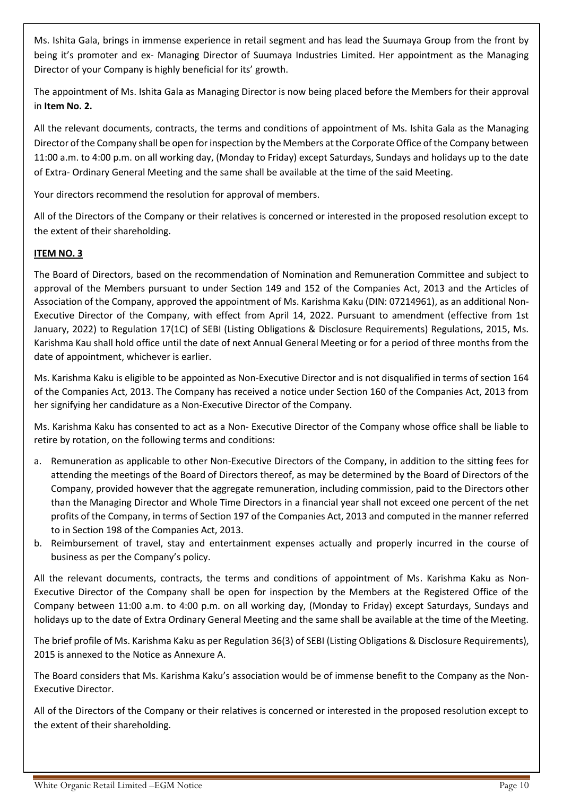Ms. Ishita Gala, brings in immense experience in retail segment and has lead the Suumaya Group from the front by being it's promoter and ex- Managing Director of Suumaya Industries Limited. Her appointment as the Managing Director of your Company is highly beneficial for its' growth.

The appointment of Ms. Ishita Gala as Managing Director is now being placed before the Members for their approval in **Item No. 2.**

All the relevant documents, contracts, the terms and conditions of appointment of Ms. Ishita Gala as the Managing Director of the Company shall be open for inspection by the Members at the Corporate Office of the Company between 11:00 a.m. to 4:00 p.m. on all working day, (Monday to Friday) except Saturdays, Sundays and holidays up to the date of Extra- Ordinary General Meeting and the same shall be available at the time of the said Meeting.

Your directors recommend the resolution for approval of members.

All of the Directors of the Company or their relatives is concerned or interested in the proposed resolution except to the extent of their shareholding.

# **ITEM NO. 3**

The Board of Directors, based on the recommendation of Nomination and Remuneration Committee and subject to approval of the Members pursuant to under Section 149 and 152 of the Companies Act, 2013 and the Articles of Association of the Company, approved the appointment of Ms. Karishma Kaku (DIN: 07214961), as an additional Non-Executive Director of the Company, with effect from April 14, 2022. Pursuant to amendment (effective from 1st January, 2022) to Regulation 17(1C) of SEBI (Listing Obligations & Disclosure Requirements) Regulations, 2015, Ms. Karishma Kau shall hold office until the date of next Annual General Meeting or for a period of three months from the date of appointment, whichever is earlier.

Ms. Karishma Kaku is eligible to be appointed as Non-Executive Director and is not disqualified in terms of section 164 of the Companies Act, 2013. The Company has received a notice under Section 160 of the Companies Act, 2013 from her signifying her candidature as a Non-Executive Director of the Company.

Ms. Karishma Kaku has consented to act as a Non- Executive Director of the Company whose office shall be liable to retire by rotation, on the following terms and conditions:

- a. Remuneration as applicable to other Non-Executive Directors of the Company, in addition to the sitting fees for attending the meetings of the Board of Directors thereof, as may be determined by the Board of Directors of the Company, provided however that the aggregate remuneration, including commission, paid to the Directors other than the Managing Director and Whole Time Directors in a financial year shall not exceed one percent of the net profits of the Company, in terms of Section 197 of the Companies Act, 2013 and computed in the manner referred to in Section 198 of the Companies Act, 2013.
- b. Reimbursement of travel, stay and entertainment expenses actually and properly incurred in the course of business as per the Company's policy.

All the relevant documents, contracts, the terms and conditions of appointment of Ms. Karishma Kaku as Non-Executive Director of the Company shall be open for inspection by the Members at the Registered Office of the Company between 11:00 a.m. to 4:00 p.m. on all working day, (Monday to Friday) except Saturdays, Sundays and holidays up to the date of Extra Ordinary General Meeting and the same shall be available at the time of the Meeting.

The brief profile of Ms. Karishma Kaku as per Regulation 36(3) of SEBI (Listing Obligations & Disclosure Requirements), 2015 is annexed to the Notice as Annexure A.

The Board considers that Ms. Karishma Kaku's association would be of immense benefit to the Company as the Non-Executive Director.

All of the Directors of the Company or their relatives is concerned or interested in the proposed resolution except to the extent of their shareholding.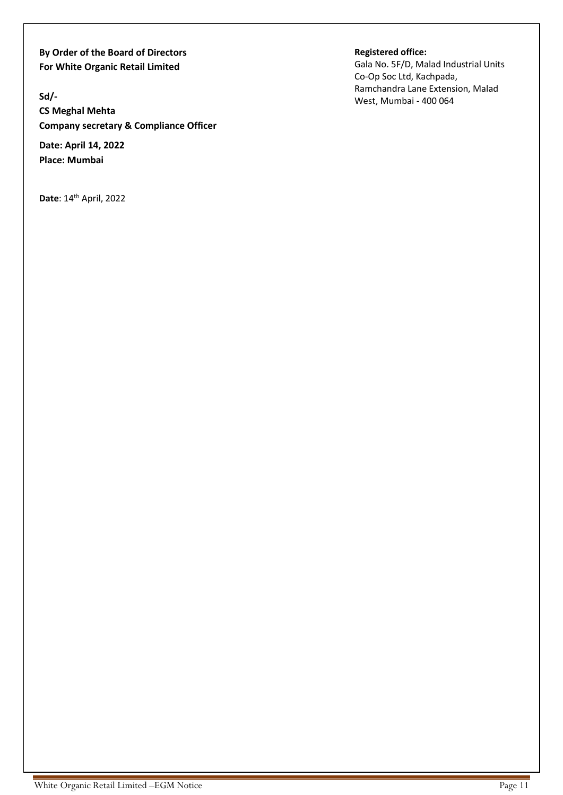**By Order of the Board of Directors For White Organic Retail Limited** 

**Sd/-**

**CS Meghal Mehta Company secretary & Compliance Officer**

**Date: April 14, 2022 Place: Mumbai**

**Date**: 14<sup>th</sup> April, 2022

**Registered office:** 

Gala No. 5F/D, Malad Industrial Units Co-Op Soc Ltd, Kachpada, Ramchandra Lane Extension, Malad West, Mumbai - 400 064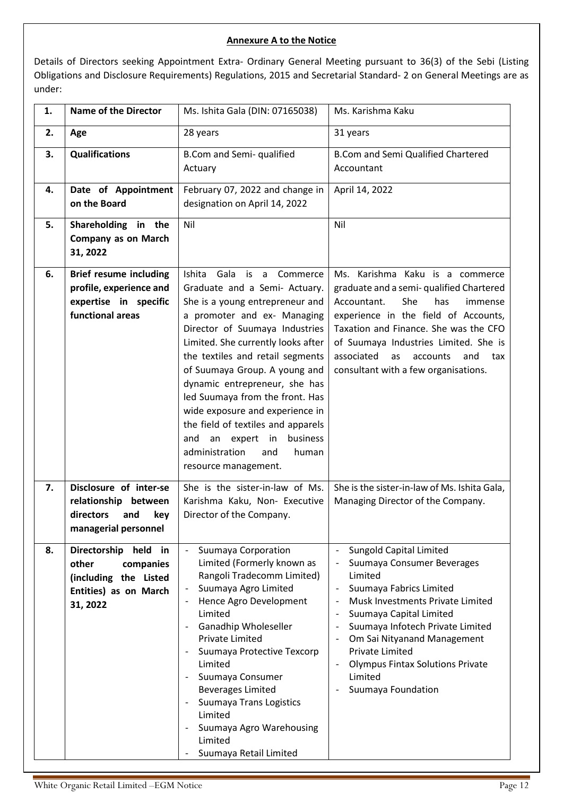### **Annexure A to the Notice**

Details of Directors seeking Appointment Extra- Ordinary General Meeting pursuant to 36(3) of the Sebi (Listing Obligations and Disclosure Requirements) Regulations, 2015 and Secretarial Standard- 2 on General Meetings are as under:

| 1. | <b>Name of the Director</b>                                                                              | Ms. Ishita Gala (DIN: 07165038)                                                                                                                                                                                                                                                                                                                                                                                                                                                                                              | Ms. Karishma Kaku                                                                                                                                                                                                                                                                                                                          |
|----|----------------------------------------------------------------------------------------------------------|------------------------------------------------------------------------------------------------------------------------------------------------------------------------------------------------------------------------------------------------------------------------------------------------------------------------------------------------------------------------------------------------------------------------------------------------------------------------------------------------------------------------------|--------------------------------------------------------------------------------------------------------------------------------------------------------------------------------------------------------------------------------------------------------------------------------------------------------------------------------------------|
| 2. | Age                                                                                                      | 28 years                                                                                                                                                                                                                                                                                                                                                                                                                                                                                                                     | 31 years                                                                                                                                                                                                                                                                                                                                   |
| 3. | <b>Qualifications</b>                                                                                    | B.Com and Semi- qualified<br>Actuary                                                                                                                                                                                                                                                                                                                                                                                                                                                                                         | <b>B.Com and Semi Qualified Chartered</b><br>Accountant                                                                                                                                                                                                                                                                                    |
| 4. | Date of Appointment<br>on the Board                                                                      | February 07, 2022 and change in<br>designation on April 14, 2022                                                                                                                                                                                                                                                                                                                                                                                                                                                             | April 14, 2022                                                                                                                                                                                                                                                                                                                             |
| 5. | Shareholding in the<br><b>Company as on March</b><br>31, 2022                                            | Nil                                                                                                                                                                                                                                                                                                                                                                                                                                                                                                                          | Nil                                                                                                                                                                                                                                                                                                                                        |
| 6. | <b>Brief resume including</b><br>profile, experience and<br>expertise in specific<br>functional areas    | Gala is a<br>Ishita<br>Commerce<br>Graduate and a Semi- Actuary.<br>She is a young entrepreneur and<br>a promoter and ex- Managing<br>Director of Suumaya Industries<br>Limited. She currently looks after<br>the textiles and retail segments<br>of Suumaya Group. A young and<br>dynamic entrepreneur, she has<br>led Suumaya from the front. Has<br>wide exposure and experience in<br>the field of textiles and apparels<br>an expert<br>in<br>business<br>and<br>administration<br>and<br>human<br>resource management. | Ms. Karishma Kaku is a commerce<br>graduate and a semi- qualified Chartered<br>She<br>has<br>Accountant.<br>immense<br>experience in the field of Accounts,<br>Taxation and Finance. She was the CFO<br>of Suumaya Industries Limited. She is<br>associated<br>accounts<br>and<br>as<br>tax<br>consultant with a few organisations.        |
| 7. | Disclosure of inter-se<br>relationship between<br>directors<br>and<br>key<br>managerial personnel        | She is the sister-in-law of Ms.<br>Karishma Kaku, Non- Executive<br>Director of the Company.                                                                                                                                                                                                                                                                                                                                                                                                                                 | She is the sister-in-law of Ms. Ishita Gala,<br>Managing Director of the Company.                                                                                                                                                                                                                                                          |
| 8. | Directorship held in<br>other<br>companies<br>(including the Listed<br>Entities) as on March<br>31, 2022 | Suumaya Corporation<br>Limited (Formerly known as<br>Rangoli Tradecomm Limited)<br>Suumaya Agro Limited<br>$\overline{\phantom{a}}$<br>Hence Agro Development<br>Limited<br>Ganadhip Wholeseller<br>Private Limited<br>Suumaya Protective Texcorp<br>Limited<br>Suumaya Consumer<br><b>Beverages Limited</b><br>Suumaya Trans Logistics<br>Limited<br>Suumaya Agro Warehousing<br>Limited<br>Suumaya Retail Limited                                                                                                          | <b>Sungold Capital Limited</b><br>Suumaya Consumer Beverages<br>Limited<br>Suumaya Fabrics Limited<br>Musk Investments Private Limited<br>Suumaya Capital Limited<br>Suumaya Infotech Private Limited<br>Om Sai Nityanand Management<br><b>Private Limited</b><br><b>Olympus Fintax Solutions Private</b><br>Limited<br>Suumaya Foundation |